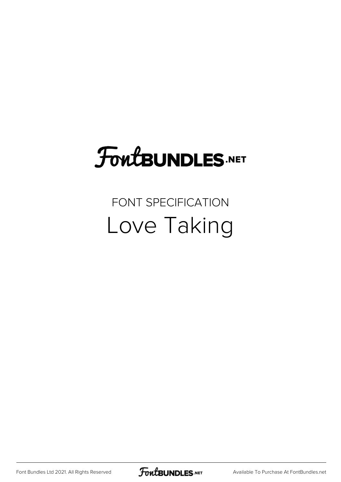## FoutBUNDLES.NET

#### FONT SPECIFICATION Love Taking

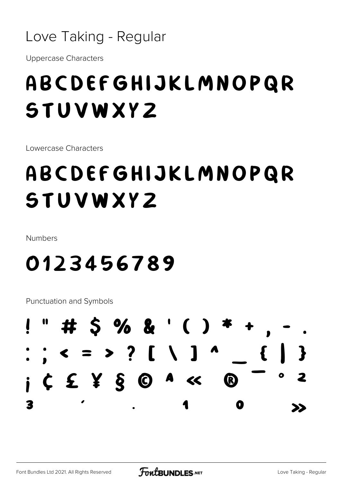#### Love Taking - Regular

**Uppercase Characters** 

#### ABCDEFGHIJKLMNOPQR **STUVWXYZ**

Lowercase Characters

### ABCDEFGHIJKLMNOPQR **STUVWXYZ**

**Numbers** 

#### 0123456789

**Punctuation and Symbols** 

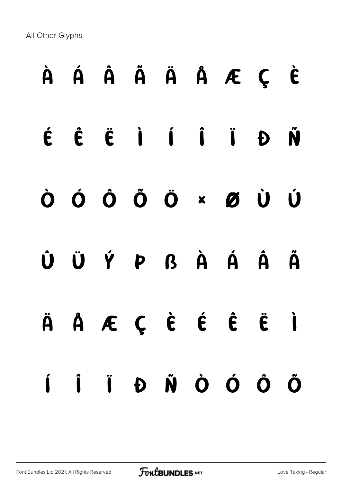All Other Glyphs

# À Á Â Ã Ä Å Æ Ç È É Ê Ë Ì Í Î Ï Ð Ñ Ò Ó Ô Õ Ö × Ø Ù Ú Û Ü Ý Þ ß à á â ã ä å æ ç è é ê ë ì í î ï ð ñ ò ó ô õ